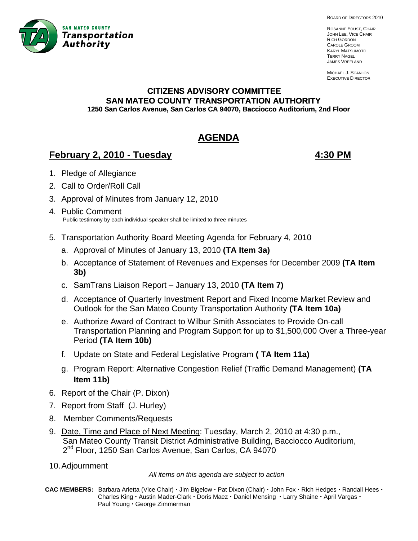

BOARD OF DIRECTORS 2010

ROSANNE FOUST, CHAIR JOHN LEE, VICE CHAIR RICH GORDON CAROLE GROOM KARYL MATSUMOTO TERRY NAGEL JAMES VREELAND

MICHAEL J. SCANLON EXECUTIVE DIRECTOR

# **CITIZENS ADVISORY COMMITTEE SAN MATEO COUNTY TRANSPORTATION AUTHORITY 1250 San Carlos Avenue, San Carlos CA 94070, Bacciocco Auditorium, 2nd Floor**

# **AGENDA**

## **February 2, 2010 - Tuesday 1988 1999 12:30 PM**

- 1. Pledge of Allegiance
- 2. Call to Order/Roll Call
- 3. A pproval of Minutes from January 12, 2010
- 4. Public Comment Public testimony by each individual speaker shall be limited to three minutes
- 5. Transportation Authority Board Meeting Agenda for February 4, 2010
	- a. Approval of Minutes of January 13, 2010 **(TA Item 3a)**
	- b. Acceptance of Statement of Revenues and Expenses for December 2009 **(TA Item 3b)**
	- c. SamTrans Liaison Report January 13, 2010 **(TA Item 7)**
	- d. Acceptance of Quarterly Investment Report and Fixed Income Market Review and Outlook for the San Mateo County Transportation Authority **(TA Item 10a)**
	- e. Authorize Award of Contract to Wilbur Smith Associates to Provide On-call Transportation Planning and Program Support for up to \$1,500,000 Over a Three-year Period **(TA Item 10b)**
	- f. Update on State and Federal Legislative Program **( TA Item 11a)**
	- g. Program Report: Alternative Congestion Relief (Traffic Demand Management) **(TA Item 11b)**
- 6. Report of the Chair (P. Dixon)
- 7. Report from Staff (J. Hurley)
- 8. Member Comments/Requests
- 9. Date, Time and Place of Next Meeting: Tuesday, March 2, 2010 at 4:30 p.m., San Mateo County Transit District Administrative Building, Bacciocco Auditorium, 2<sup>nd</sup> Floor, 1250 San Carlos Avenue, San Carlos, CA 94070
- 10. Adjournment

*All items on this agenda are subject to action* 

**CAC MEMBERS:** Barbara Arietta (Vice Chair)  $\cdot$  Jim Bigelow  $\cdot$  Pat Dixon (Chair)  $\cdot$  John Fox  $\cdot$  Rich Hedges  $\cdot$  Randall Hees  $\cdot$ **Charles King · Austin Mader-Clark · Doris Maez · Daniel Mensing · Larry Shaine · April Vargas ·** Paul Young · George Zimmerman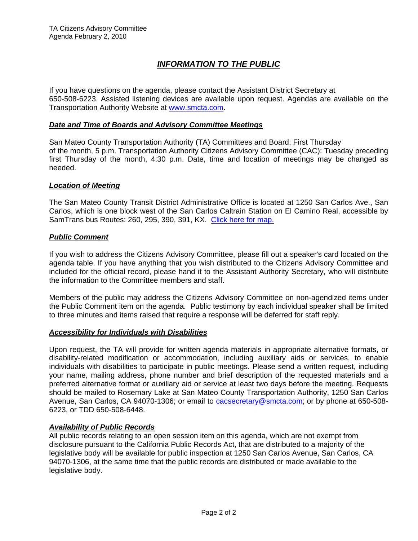## *INFORMATION TO THE PUBLIC*

If you have questions on the agenda, please contact the Assistant District Secretary at 650-508-6223. Assisted listening devices are available upon request. Agendas are available on the Transportation Authority Website at [www.smcta.com.](http://www.smcta.com/)

#### *Date and Time of Boards and Advisory Committee Meetings*

San Mateo County Transportation Authority (TA) Committees and Board: First Thursday of the month, 5 p.m. Transportation Authority Citizens Advisory Committee (CAC): Tuesday preceding first Thursday of the month, 4:30 p.m. Date, time and location of meetings may be changed as needed.

#### *Location of Meeting*

The San Mateo County Transit District Administrative Office is located at 1250 San Carlos Ave., San Carlos, which is one block west of the San Carlos Caltrain Station on El Camino Real, accessible by SamTrans bus Routes: 260, 295, 390, 391, KX. [Click here for map.](http://maps.google.com/maps?f=q&hl=en&geocode=&q=1250+San+Carlos+Ave,+San+Carlos,+CA+94070&sll=37.0625,-95.677068&sspn=33.077336,56.25&ie=UTF8&ll=37.507394,-122.261996&spn=0.008085,0.013733&z=16)

#### *Public Comment*

If you wish to address the Citizens Advisory Committee, please fill out a speaker's card located on the agenda table. If you have anything that you wish distributed to the Citizens Advisory Committee and included for the official record, please hand it to the Assistant Authority Secretary, who will distribute the information to the Committee members and staff.

Members of the public may address the Citizens Advisory Committee on non-agendized items under the Public Comment item on the agenda. Public testimony by each individual speaker shall be limited to three minutes and items raised that require a response will be deferred for staff reply.

#### *Accessibility for Individuals with Disabilities*

Upon request, the TA will provide for written agenda materials in appropriate alternative formats, or disability-related modification or accommodation, including auxiliary aids or services, to enable individuals with disabilities to participate in public meetings. Please send a written request, including your name, mailing address, phone number and brief description of the requested materials and a preferred alternative format or auxiliary aid or service at least two days before the meeting. Requests should be mailed to Rosemary Lake at San Mateo County Transportation Authority, 1250 San Carlos Avenue, San Carlos, CA 94070-1306; or email to **[cacsecretary@smcta.com](mailto:cacsecretary@smcta.com)**; or by phone at 650-508-6223, or TDD 650-508-6448.

#### *Availability of Public Records*

All public records relating to an open session item on this agenda, which are not exempt from disclosure pursuant to the California Public Records Act, that are distributed to a majority of the legislative body will be available for public inspection at 1250 San Carlos Avenue, San Carlos, CA 94070-1306, at the same time that the public records are distributed or made available to the legislative body.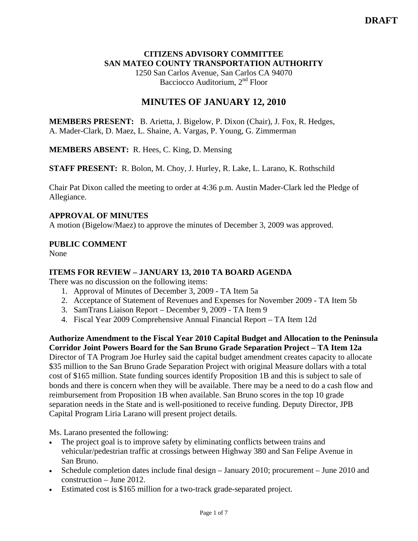#### **CITIZENS ADVISORY COMMITTEE SAN MATEO COUNTY TRANSPORTATION AUTHORITY**

1250 San Carlos Avenue, San Carlos CA 94070 Bacciocco Auditorium, 2<sup>nd</sup> Floor

## **MINUTES OF JANUARY 12, 2010**

**MEMBERS PRESENT:** B. Arietta, J. Bigelow, P. Dixon (Chair), J. Fox, R. Hedges, A. Mader-Clark, D. Maez, L. Shaine, A. Vargas, P. Young, G. Zimmerman

**MEMBERS ABSENT:** R. Hees, C. King, D. Mensing

**STAFF PRESENT:** R. Bolon, M. Choy, J. Hurley, R. Lake, L. Larano, K. Rothschild

Chair Pat Dixon called the meeting to order at 4:36 p.m. Austin Mader-Clark led the Pledge of Allegiance.

#### **APPROVAL OF MINUTES**

A motion (Bigelow/Maez) to approve the minutes of December 3, 2009 was approved.

#### **PUBLIC COMMENT**

None

### **ITEMS FOR REVIEW – JANUARY 13, 2010 TA BOARD AGENDA**

There was no discussion on the following items:

- 1. Approval of Minutes of December 3, 2009 TA Item 5a
- 2. Acceptance of Statement of Revenues and Expenses for November 2009 TA Item 5b
- 3. SamTrans Liaison Report December 9, 2009 TA Item 9
- 4. Fiscal Year 2009 Comprehensive Annual Financial Report TA Item 12d

**Authorize Amendment to the Fiscal Year 2010 Capital Budget and Allocation to the Peninsula Corridor Joint Powers Board for the San Bruno Grade Separation Project – TA Item 12a**  Director of TA Program Joe Hurley said the capital budget amendment creates capacity to allocate \$35 million to the San Bruno Grade Separation Project with original Measure dollars with a total cost of \$165 million. State funding sources identify Proposition 1B and this is subject to sale of bonds and there is concern when they will be available. There may be a need to do a cash flow and reimbursement from Proposition 1B when available. San Bruno scores in the top 10 grade separation needs in the State and is well-positioned to receive funding. Deputy Director, JPB Capital Program Liria Larano will present project details.

Ms. Larano presented the following:

- The project goal is to improve safety by eliminating conflicts between trains and vehicular/pedestrian traffic at crossings between Highway 380 and San Felipe Avenue in San Bruno.
- Schedule completion dates include final design January 2010; procurement June 2010 and construction – June 2012.
- Estimated cost is \$165 million for a two-track grade-separated project.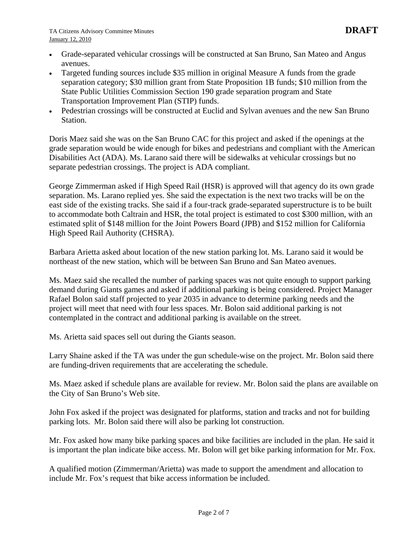- Grade-separated vehicular crossings will be constructed at San Bruno, San Mateo and Angus avenues.
- Targeted funding sources include \$35 million in original Measure A funds from the grade separation category; \$30 million grant from State Proposition 1B funds; \$10 million from the State Public Utilities Commission Section 190 grade separation program and State Transportation Improvement Plan (STIP) funds.
- Pedestrian crossings will be constructed at Euclid and Sylvan avenues and the new San Bruno Station.

Doris Maez said she was on the San Bruno CAC for this project and asked if the openings at the grade separation would be wide enough for bikes and pedestrians and compliant with the American Disabilities Act (ADA). Ms. Larano said there will be sidewalks at vehicular crossings but no separate pedestrian crossings. The project is ADA compliant.

George Zimmerman asked if High Speed Rail (HSR) is approved will that agency do its own grade separation. Ms. Larano replied yes. She said the expectation is the next two tracks will be on the east side of the existing tracks. She said if a four-track grade-separated superstructure is to be built to accommodate both Caltrain and HSR, the total project is estimated to cost \$300 million, with an estimated split of \$148 million for the Joint Powers Board (JPB) and \$152 million for California High Speed Rail Authority (CHSRA).

Barbara Arietta asked about location of the new station parking lot. Ms. Larano said it would be northeast of the new station, which will be between San Bruno and San Mateo avenues.

Ms. Maez said she recalled the number of parking spaces was not quite enough to support parking demand during Giants games and asked if additional parking is being considered. Project Manager Rafael Bolon said staff projected to year 2035 in advance to determine parking needs and the project will meet that need with four less spaces. Mr. Bolon said additional parking is not contemplated in the contract and additional parking is available on the street.

Ms. Arietta said spaces sell out during the Giants season.

Larry Shaine asked if the TA was under the gun schedule-wise on the project. Mr. Bolon said there are funding-driven requirements that are accelerating the schedule.

Ms. Maez asked if schedule plans are available for review. Mr. Bolon said the plans are available on the City of San Bruno's Web site.

John Fox asked if the project was designated for platforms, station and tracks and not for building parking lots. Mr. Bolon said there will also be parking lot construction.

Mr. Fox asked how many bike parking spaces and bike facilities are included in the plan. He said it is important the plan indicate bike access. Mr. Bolon will get bike parking information for Mr. Fox.

A qualified motion (Zimmerman/Arietta) was made to support the amendment and allocation to include Mr. Fox's request that bike access information be included.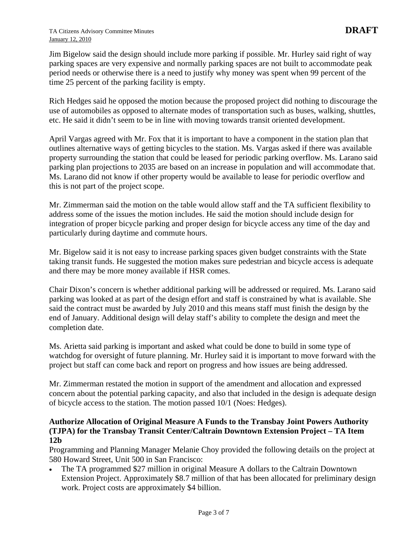Jim Bigelow said the design should include more parking if possible. Mr. Hurley said right of way parking spaces are very expensive and normally parking spaces are not built to accommodate peak period needs or otherwise there is a need to justify why money was spent when 99 percent of the time 25 percent of the parking facility is empty.

Rich Hedges said he opposed the motion because the proposed project did nothing to discourage the use of automobiles as opposed to alternate modes of transportation such as buses, walking, shuttles, etc. He said it didn't seem to be in line with moving towards transit oriented development.

April Vargas agreed with Mr. Fox that it is important to have a component in the station plan that outlines alternative ways of getting bicycles to the station. Ms. Vargas asked if there was available property surrounding the station that could be leased for periodic parking overflow. Ms. Larano said parking plan projections to 2035 are based on an increase in population and will accommodate that. Ms. Larano did not know if other property would be available to lease for periodic overflow and this is not part of the project scope.

Mr. Zimmerman said the motion on the table would allow staff and the TA sufficient flexibility to address some of the issues the motion includes. He said the motion should include design for integration of proper bicycle parking and proper design for bicycle access any time of the day and particularly during daytime and commute hours.

Mr. Bigelow said it is not easy to increase parking spaces given budget constraints with the State taking transit funds. He suggested the motion makes sure pedestrian and bicycle access is adequate and there may be more money available if HSR comes.

Chair Dixon's concern is whether additional parking will be addressed or required. Ms. Larano said parking was looked at as part of the design effort and staff is constrained by what is available. She said the contract must be awarded by July 2010 and this means staff must finish the design by the end of January. Additional design will delay staff's ability to complete the design and meet the completion date.

Ms. Arietta said parking is important and asked what could be done to build in some type of watchdog for oversight of future planning. Mr. Hurley said it is important to move forward with the project but staff can come back and report on progress and how issues are being addressed.

Mr. Zimmerman restated the motion in support of the amendment and allocation and expressed concern about the potential parking capacity, and also that included in the design is adequate design of bicycle access to the station. The motion passed 10/1 (Noes: Hedges).

#### **Authorize Allocation of Original Measure A Funds to the Transbay Joint Powers Authority (TJPA) for the Transbay Transit Center/Caltrain Downtown Extension Project – TA Item 12b**

Programming and Planning Manager Melanie Choy provided the following details on the project at 580 Howard Street, Unit 500 in San Francisco:

• The TA programmed \$27 million in original Measure A dollars to the Caltrain Downtown Extension Project. Approximately \$8.7 million of that has been allocated for preliminary design work. Project costs are approximately \$4 billion.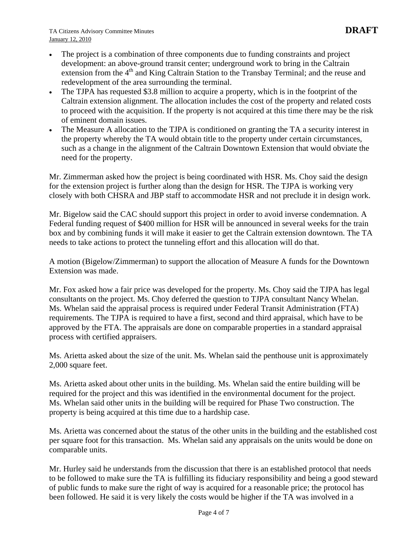- The project is a combination of three components due to funding constraints and project development: an above-ground transit center; underground work to bring in the Caltrain extension from the 4<sup>th</sup> and King Caltrain Station to the Transbay Terminal; and the reuse and redevelopment of the area surrounding the terminal.
- The TJPA has requested \$3.8 million to acquire a property, which is in the footprint of the Caltrain extension alignment. The allocation includes the cost of the property and related costs to proceed with the acquisition. If the property is not acquired at this time there may be the risk of eminent domain issues.
- The Measure A allocation to the TJPA is conditioned on granting the TA a security interest in the property whereby the TA would obtain title to the property under certain circumstances, such as a change in the alignment of the Caltrain Downtown Extension that would obviate the need for the property.

Mr. Zimmerman asked how the project is being coordinated with HSR. Ms. Choy said the design for the extension project is further along than the design for HSR. The TJPA is working very closely with both CHSRA and JBP staff to accommodate HSR and not preclude it in design work.

Mr. Bigelow said the CAC should support this project in order to avoid inverse condemnation. A Federal funding request of \$400 million for HSR will be announced in several weeks for the train box and by combining funds it will make it easier to get the Caltrain extension downtown. The TA needs to take actions to protect the tunneling effort and this allocation will do that.

A motion (Bigelow/Zimmerman) to support the allocation of Measure A funds for the Downtown Extension was made.

Mr. Fox asked how a fair price was developed for the property. Ms. Choy said the TJPA has legal consultants on the project. Ms. Choy deferred the question to TJPA consultant Nancy Whelan. Ms. Whelan said the appraisal process is required under Federal Transit Administration (FTA) requirements. The TJPA is required to have a first, second and third appraisal, which have to be approved by the FTA. The appraisals are done on comparable properties in a standard appraisal process with certified appraisers.

Ms. Arietta asked about the size of the unit. Ms. Whelan said the penthouse unit is approximately 2,000 square feet.

Ms. Arietta asked about other units in the building. Ms. Whelan said the entire building will be required for the project and this was identified in the environmental document for the project. Ms. Whelan said other units in the building will be required for Phase Two construction. The property is being acquired at this time due to a hardship case.

Ms. Arietta was concerned about the status of the other units in the building and the established cost per square foot for this transaction. Ms. Whelan said any appraisals on the units would be done on comparable units.

Mr. Hurley said he understands from the discussion that there is an established protocol that needs to be followed to make sure the TA is fulfilling its fiduciary responsibility and being a good steward of public funds to make sure the right of way is acquired for a reasonable price; the protocol has been followed. He said it is very likely the costs would be higher if the TA was involved in a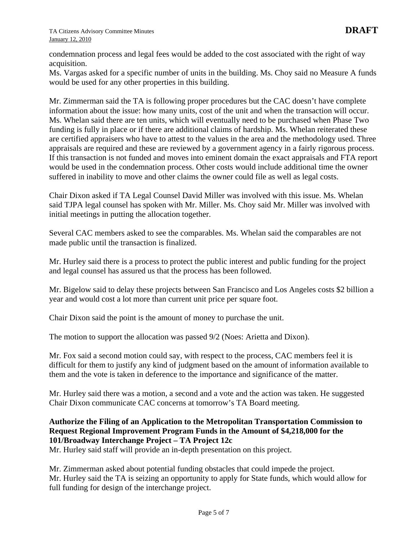condemnation process and legal fees would be added to the cost associated with the right of way acquisition.

Ms. Vargas asked for a specific number of units in the building. Ms. Choy said no Measure A funds would be used for any other properties in this building.

Mr. Zimmerman said the TA is following proper procedures but the CAC doesn't have complete information about the issue: how many units, cost of the unit and when the transaction will occur. Ms. Whelan said there are ten units, which will eventually need to be purchased when Phase Two funding is fully in place or if there are additional claims of hardship. Ms. Whelan reiterated these are certified appraisers who have to attest to the values in the area and the methodology used. Three appraisals are required and these are reviewed by a government agency in a fairly rigorous process. If this transaction is not funded and moves into eminent domain the exact appraisals and FTA report would be used in the condemnation process. Other costs would include additional time the owner suffered in inability to move and other claims the owner could file as well as legal costs.

Chair Dixon asked if TA Legal Counsel David Miller was involved with this issue. Ms. Whelan said TJPA legal counsel has spoken with Mr. Miller. Ms. Choy said Mr. Miller was involved with initial meetings in putting the allocation together.

Several CAC members asked to see the comparables. Ms. Whelan said the comparables are not made public until the transaction is finalized.

Mr. Hurley said there is a process to protect the public interest and public funding for the project and legal counsel has assured us that the process has been followed.

Mr. Bigelow said to delay these projects between San Francisco and Los Angeles costs \$2 billion a year and would cost a lot more than current unit price per square foot.

Chair Dixon said the point is the amount of money to purchase the unit.

The motion to support the allocation was passed 9/2 (Noes: Arietta and Dixon).

Mr. Fox said a second motion could say, with respect to the process, CAC members feel it is difficult for them to justify any kind of judgment based on the amount of information available to them and the vote is taken in deference to the importance and significance of the matter.

Mr. Hurley said there was a motion, a second and a vote and the action was taken. He suggested Chair Dixon communicate CAC concerns at tomorrow's TA Board meeting.

#### **Authorize the Filing of an Application to the Metropolitan Transportation Commission to Request Regional Improvement Program Funds in the Amount of \$4,218,000 for the 101/Broadway Interchange Project – TA Project 12c**

Mr. Hurley said staff will provide an in-depth presentation on this project.

Mr. Zimmerman asked about potential funding obstacles that could impede the project. Mr. Hurley said the TA is seizing an opportunity to apply for State funds, which would allow for full funding for design of the interchange project.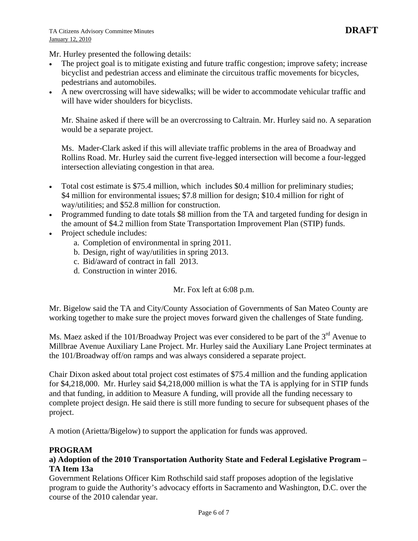Mr. Hurley presented the following details:

- The project goal is to mitigate existing and future traffic congestion; improve safety; increase bicyclist and pedestrian access and eliminate the circuitous traffic movements for bicycles, pedestrians and automobiles.
- A new overcrossing will have sidewalks; will be wider to accommodate vehicular traffic and will have wider shoulders for bicyclists.

Mr. Shaine asked if there will be an overcrossing to Caltrain. Mr. Hurley said no. A separation would be a separate project.

Ms. Mader-Clark asked if this will alleviate traffic problems in the area of Broadway and Rollins Road. Mr. Hurley said the current five-legged intersection will become a four-legged intersection alleviating congestion in that area.

- Total cost estimate is \$75.4 million, which includes \$0.4 million for preliminary studies; \$4 million for environmental issues; \$7.8 million for design; \$10.4 million for right of way/utilities; and \$52.8 million for construction.
- Programmed funding to date totals \$8 million from the TA and targeted funding for design in the amount of \$4.2 million from State Transportation Improvement Plan (STIP) funds.
- Project schedule includes:
	- a. Completion of environmental in spring 2011.
	- b. Design, right of way/utilities in spring 2013.
	- c. Bid/award of contract in fall 2013.
	- d. Construction in winter 2016.

Mr. Fox left at 6:08 p.m.

Mr. Bigelow said the TA and City/County Association of Governments of San Mateo County are working together to make sure the project moves forward given the challenges of State funding.

Ms. Maez asked if the 101/Broadway Project was ever considered to be part of the  $3<sup>rd</sup>$  Avenue to Millbrae Avenue Auxiliary Lane Project. Mr. Hurley said the Auxiliary Lane Project terminates at the 101/Broadway off/on ramps and was always considered a separate project.

Chair Dixon asked about total project cost estimates of \$75.4 million and the funding application for \$4,218,000. Mr. Hurley said \$4,218,000 million is what the TA is applying for in STIP funds and that funding, in addition to Measure A funding, will provide all the funding necessary to complete project design. He said there is still more funding to secure for subsequent phases of the project.

A motion (Arietta/Bigelow) to support the application for funds was approved.

#### **PROGRAM**

#### **a) Adoption of the 2010 Transportation Authority State and Federal Legislative Program – TA Item 13a**

Government Relations Officer Kim Rothschild said staff proposes adoption of the legislative program to guide the Authority's advocacy efforts in Sacramento and Washington, D.C. over the course of the 2010 calendar year.